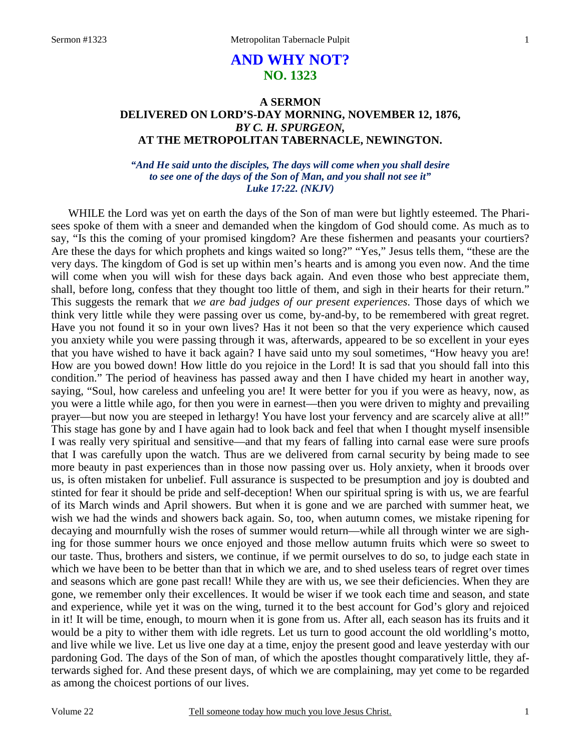# **AND WHY NOT? NO. 1323**

# **A SERMON DELIVERED ON LORD'S-DAY MORNING, NOVEMBER 12, 1876,** *BY C. H. SPURGEON,*  **AT THE METROPOLITAN TABERNACLE, NEWINGTON.**

### *"And He said unto the disciples, The days will come when you shall desire to see one of the days of the Son of Man, and you shall not see it" Luke 17:22. (NKJV)*

WHILE the Lord was yet on earth the days of the Son of man were but lightly esteemed. The Pharisees spoke of them with a sneer and demanded when the kingdom of God should come. As much as to say, "Is this the coming of your promised kingdom? Are these fishermen and peasants your courtiers? Are these the days for which prophets and kings waited so long?" "Yes," Jesus tells them, "these are the very days. The kingdom of God is set up within men's hearts and is among you even now. And the time will come when you will wish for these days back again. And even those who best appreciate them, shall, before long, confess that they thought too little of them, and sigh in their hearts for their return." This suggests the remark that *we are bad judges of our present experiences*. Those days of which we think very little while they were passing over us come, by-and-by, to be remembered with great regret. Have you not found it so in your own lives? Has it not been so that the very experience which caused you anxiety while you were passing through it was, afterwards, appeared to be so excellent in your eyes that you have wished to have it back again? I have said unto my soul sometimes, "How heavy you are! How are you bowed down! How little do you rejoice in the Lord! It is sad that you should fall into this condition." The period of heaviness has passed away and then I have chided my heart in another way, saying, "Soul, how careless and unfeeling you are! It were better for you if you were as heavy, now, as you were a little while ago, for then you were in earnest—then you were driven to mighty and prevailing prayer—but now you are steeped in lethargy! You have lost your fervency and are scarcely alive at all!" This stage has gone by and I have again had to look back and feel that when I thought myself insensible I was really very spiritual and sensitive—and that my fears of falling into carnal ease were sure proofs that I was carefully upon the watch. Thus are we delivered from carnal security by being made to see more beauty in past experiences than in those now passing over us. Holy anxiety, when it broods over us, is often mistaken for unbelief. Full assurance is suspected to be presumption and joy is doubted and stinted for fear it should be pride and self-deception! When our spiritual spring is with us, we are fearful of its March winds and April showers. But when it is gone and we are parched with summer heat, we wish we had the winds and showers back again. So, too, when autumn comes, we mistake ripening for decaying and mournfully wish the roses of summer would return—while all through winter we are sighing for those summer hours we once enjoyed and those mellow autumn fruits which were so sweet to our taste. Thus, brothers and sisters, we continue, if we permit ourselves to do so, to judge each state in which we have been to be better than that in which we are, and to shed useless tears of regret over times and seasons which are gone past recall! While they are with us, we see their deficiencies. When they are gone, we remember only their excellences. It would be wiser if we took each time and season, and state and experience, while yet it was on the wing, turned it to the best account for God's glory and rejoiced in it! It will be time, enough, to mourn when it is gone from us. After all, each season has its fruits and it would be a pity to wither them with idle regrets. Let us turn to good account the old worldling's motto, and live while we live. Let us live one day at a time, enjoy the present good and leave yesterday with our pardoning God. The days of the Son of man, of which the apostles thought comparatively little, they afterwards sighed for. And these present days, of which we are complaining, may yet come to be regarded as among the choicest portions of our lives.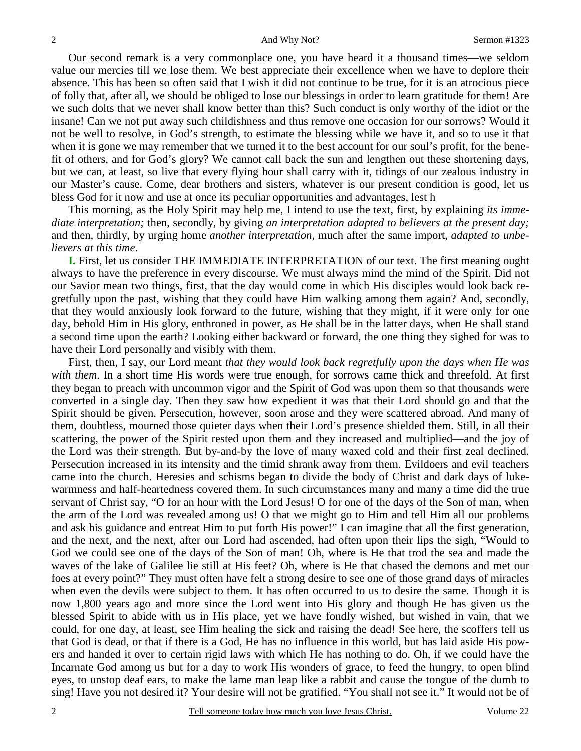Our second remark is a very commonplace one, you have heard it a thousand times—we seldom value our mercies till we lose them. We best appreciate their excellence when we have to deplore their absence. This has been so often said that I wish it did not continue to be true, for it is an atrocious piece of folly that, after all, we should be obliged to lose our blessings in order to learn gratitude for them! Are we such dolts that we never shall know better than this? Such conduct is only worthy of the idiot or the insane! Can we not put away such childishness and thus remove one occasion for our sorrows? Would it not be well to resolve, in God's strength, to estimate the blessing while we have it, and so to use it that when it is gone we may remember that we turned it to the best account for our soul's profit, for the benefit of others, and for God's glory? We cannot call back the sun and lengthen out these shortening days, but we can, at least, so live that every flying hour shall carry with it, tidings of our zealous industry in our Master's cause. Come, dear brothers and sisters, whatever is our present condition is good, let us bless God for it now and use at once its peculiar opportunities and advantages, lest h

 This morning, as the Holy Spirit may help me, I intend to use the text, first, by explaining *its immediate interpretation;* then, secondly, by giving *an interpretation adapted to believers at the present day;* and then, thirdly, by urging home *another interpretation*, much after the same import, *adapted to unbelievers at this time*.

**I.** First, let us consider THE IMMEDIATE INTERPRETATION of our text. The first meaning ought always to have the preference in every discourse. We must always mind the mind of the Spirit. Did not our Savior mean two things, first, that the day would come in which His disciples would look back regretfully upon the past, wishing that they could have Him walking among them again? And, secondly, that they would anxiously look forward to the future, wishing that they might, if it were only for one day, behold Him in His glory, enthroned in power, as He shall be in the latter days, when He shall stand a second time upon the earth? Looking either backward or forward, the one thing they sighed for was to have their Lord personally and visibly with them.

 First, then, I say, our Lord meant *that they would look back regretfully upon the days when He was with them*. In a short time His words were true enough, for sorrows came thick and threefold. At first they began to preach with uncommon vigor and the Spirit of God was upon them so that thousands were converted in a single day. Then they saw how expedient it was that their Lord should go and that the Spirit should be given. Persecution, however, soon arose and they were scattered abroad. And many of them, doubtless, mourned those quieter days when their Lord's presence shielded them. Still, in all their scattering, the power of the Spirit rested upon them and they increased and multiplied—and the joy of the Lord was their strength. But by-and-by the love of many waxed cold and their first zeal declined. Persecution increased in its intensity and the timid shrank away from them. Evildoers and evil teachers came into the church. Heresies and schisms began to divide the body of Christ and dark days of lukewarmness and half-heartedness covered them. In such circumstances many and many a time did the true servant of Christ say, "O for an hour with the Lord Jesus! O for one of the days of the Son of man, when the arm of the Lord was revealed among us! O that we might go to Him and tell Him all our problems and ask his guidance and entreat Him to put forth His power!" I can imagine that all the first generation, and the next, and the next, after our Lord had ascended, had often upon their lips the sigh, "Would to God we could see one of the days of the Son of man! Oh, where is He that trod the sea and made the waves of the lake of Galilee lie still at His feet? Oh, where is He that chased the demons and met our foes at every point?" They must often have felt a strong desire to see one of those grand days of miracles when even the devils were subject to them. It has often occurred to us to desire the same. Though it is now 1,800 years ago and more since the Lord went into His glory and though He has given us the blessed Spirit to abide with us in His place, yet we have fondly wished, but wished in vain, that we could, for one day, at least, see Him healing the sick and raising the dead! See here, the scoffers tell us that God is dead, or that if there is a God, He has no influence in this world, but has laid aside His powers and handed it over to certain rigid laws with which He has nothing to do. Oh, if we could have the Incarnate God among us but for a day to work His wonders of grace, to feed the hungry, to open blind eyes, to unstop deaf ears, to make the lame man leap like a rabbit and cause the tongue of the dumb to sing! Have you not desired it? Your desire will not be gratified. "You shall not see it." It would not be of

2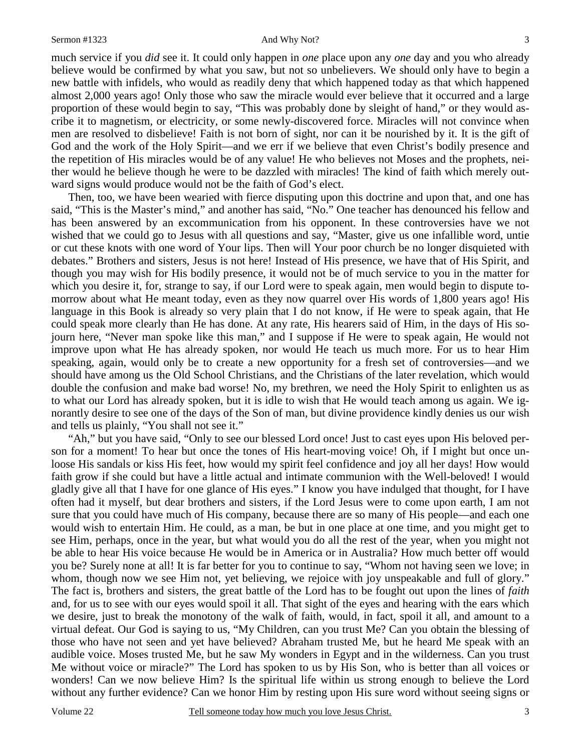much service if you *did* see it. It could only happen in *one* place upon any *one* day and you who already believe would be confirmed by what you saw, but not so unbelievers. We should only have to begin a new battle with infidels, who would as readily deny that which happened today as that which happened almost 2,000 years ago! Only those who saw the miracle would ever believe that it occurred and a large proportion of these would begin to say, "This was probably done by sleight of hand," or they would ascribe it to magnetism, or electricity, or some newly-discovered force. Miracles will not convince when men are resolved to disbelieve! Faith is not born of sight, nor can it be nourished by it. It is the gift of God and the work of the Holy Spirit—and we err if we believe that even Christ's bodily presence and the repetition of His miracles would be of any value! He who believes not Moses and the prophets, neither would he believe though he were to be dazzled with miracles! The kind of faith which merely outward signs would produce would not be the faith of God's elect.

 Then, too, we have been wearied with fierce disputing upon this doctrine and upon that, and one has said, "This is the Master's mind," and another has said, "No." One teacher has denounced his fellow and has been answered by an excommunication from his opponent. In these controversies have we not wished that we could go to Jesus with all questions and say, "Master, give us one infallible word, untie or cut these knots with one word of Your lips. Then will Your poor church be no longer disquieted with debates." Brothers and sisters, Jesus is not here! Instead of His presence, we have that of His Spirit, and though you may wish for His bodily presence, it would not be of much service to you in the matter for which you desire it, for, strange to say, if our Lord were to speak again, men would begin to dispute tomorrow about what He meant today, even as they now quarrel over His words of 1,800 years ago! His language in this Book is already so very plain that I do not know, if He were to speak again, that He could speak more clearly than He has done. At any rate, His hearers said of Him, in the days of His sojourn here, "Never man spoke like this man," and I suppose if He were to speak again, He would not improve upon what He has already spoken, nor would He teach us much more. For us to hear Him speaking, again, would only be to create a new opportunity for a fresh set of controversies—and we should have among us the Old School Christians, and the Christians of the later revelation, which would double the confusion and make bad worse! No, my brethren, we need the Holy Spirit to enlighten us as to what our Lord has already spoken, but it is idle to wish that He would teach among us again. We ignorantly desire to see one of the days of the Son of man, but divine providence kindly denies us our wish and tells us plainly, "You shall not see it."

 "Ah," but you have said, "Only to see our blessed Lord once! Just to cast eyes upon His beloved person for a moment! To hear but once the tones of His heart-moving voice! Oh, if I might but once unloose His sandals or kiss His feet, how would my spirit feel confidence and joy all her days! How would faith grow if she could but have a little actual and intimate communion with the Well-beloved! I would gladly give all that I have for one glance of His eyes." I know you have indulged that thought, for I have often had it myself, but dear brothers and sisters, if the Lord Jesus were to come upon earth, I am not sure that you could have much of His company, because there are so many of His people—and each one would wish to entertain Him. He could, as a man, be but in one place at one time, and you might get to see Him, perhaps, once in the year, but what would you do all the rest of the year, when you might not be able to hear His voice because He would be in America or in Australia? How much better off would you be? Surely none at all! It is far better for you to continue to say, "Whom not having seen we love; in whom, though now we see Him not, yet believing, we rejoice with joy unspeakable and full of glory." The fact is, brothers and sisters, the great battle of the Lord has to be fought out upon the lines of *faith* and, for us to see with our eyes would spoil it all. That sight of the eyes and hearing with the ears which we desire, just to break the monotony of the walk of faith, would, in fact, spoil it all, and amount to a virtual defeat. Our God is saying to us, "My Children, can you trust Me? Can you obtain the blessing of those who have not seen and yet have believed? Abraham trusted Me, but he heard Me speak with an audible voice. Moses trusted Me, but he saw My wonders in Egypt and in the wilderness. Can you trust Me without voice or miracle?" The Lord has spoken to us by His Son, who is better than all voices or wonders! Can we now believe Him? Is the spiritual life within us strong enough to believe the Lord without any further evidence? Can we honor Him by resting upon His sure word without seeing signs or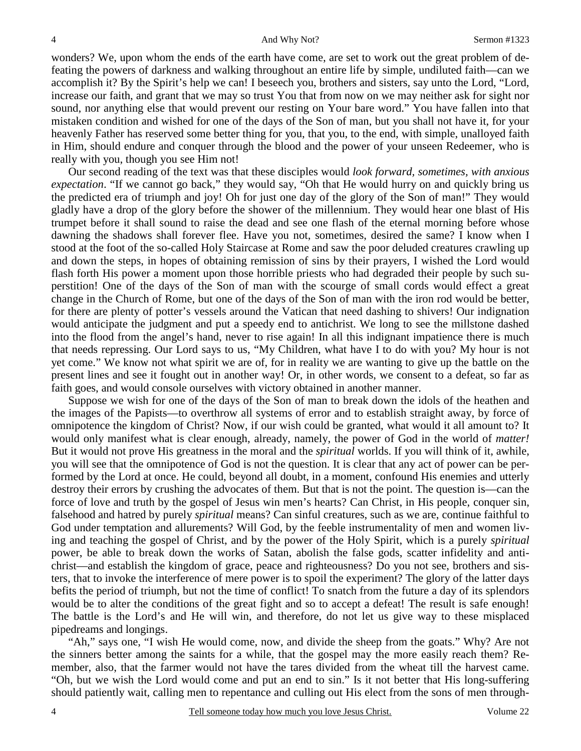wonders? We, upon whom the ends of the earth have come, are set to work out the great problem of defeating the powers of darkness and walking throughout an entire life by simple, undiluted faith—can we accomplish it? By the Spirit's help we can! I beseech you, brothers and sisters, say unto the Lord, "Lord, increase our faith, and grant that we may so trust You that from now on we may neither ask for sight nor sound, nor anything else that would prevent our resting on Your bare word." You have fallen into that mistaken condition and wished for one of the days of the Son of man, but you shall not have it, for your heavenly Father has reserved some better thing for you, that you, to the end, with simple, unalloyed faith in Him, should endure and conquer through the blood and the power of your unseen Redeemer, who is really with you, though you see Him not!

 Our second reading of the text was that these disciples would *look forward, sometimes, with anxious expectation*. "If we cannot go back," they would say, "Oh that He would hurry on and quickly bring us the predicted era of triumph and joy! Oh for just one day of the glory of the Son of man!" They would gladly have a drop of the glory before the shower of the millennium. They would hear one blast of His trumpet before it shall sound to raise the dead and see one flash of the eternal morning before whose dawning the shadows shall forever flee. Have you not, sometimes, desired the same? I know when I stood at the foot of the so-called Holy Staircase at Rome and saw the poor deluded creatures crawling up and down the steps, in hopes of obtaining remission of sins by their prayers, I wished the Lord would flash forth His power a moment upon those horrible priests who had degraded their people by such superstition! One of the days of the Son of man with the scourge of small cords would effect a great change in the Church of Rome, but one of the days of the Son of man with the iron rod would be better, for there are plenty of potter's vessels around the Vatican that need dashing to shivers! Our indignation would anticipate the judgment and put a speedy end to antichrist. We long to see the millstone dashed into the flood from the angel's hand, never to rise again! In all this indignant impatience there is much that needs repressing. Our Lord says to us, "My Children, what have I to do with you? My hour is not yet come." We know not what spirit we are of, for in reality we are wanting to give up the battle on the present lines and see it fought out in another way! Or, in other words, we consent to a defeat, so far as faith goes, and would console ourselves with victory obtained in another manner.

 Suppose we wish for one of the days of the Son of man to break down the idols of the heathen and the images of the Papists—to overthrow all systems of error and to establish straight away, by force of omnipotence the kingdom of Christ? Now, if our wish could be granted, what would it all amount to? It would only manifest what is clear enough, already, namely, the power of God in the world of *matter!* But it would not prove His greatness in the moral and the *spiritual* worlds. If you will think of it, awhile, you will see that the omnipotence of God is not the question. It is clear that any act of power can be performed by the Lord at once. He could, beyond all doubt, in a moment, confound His enemies and utterly destroy their errors by crushing the advocates of them. But that is not the point. The question is—can the force of love and truth by the gospel of Jesus win men's hearts? Can Christ, in His people, conquer sin, falsehood and hatred by purely *spiritual* means? Can sinful creatures, such as we are, continue faithful to God under temptation and allurements? Will God, by the feeble instrumentality of men and women living and teaching the gospel of Christ, and by the power of the Holy Spirit, which is a purely *spiritual* power, be able to break down the works of Satan, abolish the false gods, scatter infidelity and antichrist—and establish the kingdom of grace, peace and righteousness? Do you not see, brothers and sisters, that to invoke the interference of mere power is to spoil the experiment? The glory of the latter days befits the period of triumph, but not the time of conflict! To snatch from the future a day of its splendors would be to alter the conditions of the great fight and so to accept a defeat! The result is safe enough! The battle is the Lord's and He will win, and therefore, do not let us give way to these misplaced pipedreams and longings.

 "Ah," says one, "I wish He would come, now, and divide the sheep from the goats." Why? Are not the sinners better among the saints for a while, that the gospel may the more easily reach them? Remember, also, that the farmer would not have the tares divided from the wheat till the harvest came. "Oh, but we wish the Lord would come and put an end to sin." Is it not better that His long-suffering should patiently wait, calling men to repentance and culling out His elect from the sons of men through-

4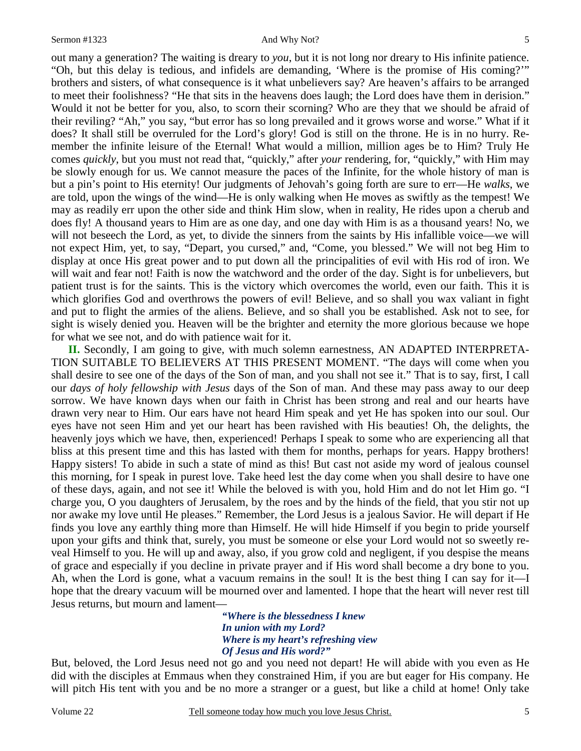#### Sermon #1323 And Why Not?

out many a generation? The waiting is dreary to *you*, but it is not long nor dreary to His infinite patience. "Oh, but this delay is tedious, and infidels are demanding, 'Where is the promise of His coming?'" brothers and sisters, of what consequence is it what unbelievers say? Are heaven's affairs to be arranged to meet their foolishness? "He that sits in the heavens does laugh; the Lord does have them in derision." Would it not be better for you, also, to scorn their scorning? Who are they that we should be afraid of their reviling? "Ah," you say, "but error has so long prevailed and it grows worse and worse." What if it does? It shall still be overruled for the Lord's glory! God is still on the throne. He is in no hurry. Remember the infinite leisure of the Eternal! What would a million, million ages be to Him? Truly He comes *quickly*, but you must not read that, "quickly," after *your* rendering, for, "quickly," with Him may be slowly enough for us. We cannot measure the paces of the Infinite, for the whole history of man is but a pin's point to His eternity! Our judgments of Jehovah's going forth are sure to err—He *walks*, we are told, upon the wings of the wind—He is only walking when He moves as swiftly as the tempest! We may as readily err upon the other side and think Him slow, when in reality, He rides upon a cherub and does fly! A thousand years to Him are as one day, and one day with Him is as a thousand years! No, we will not beseech the Lord, as yet, to divide the sinners from the saints by His infallible voice—we will not expect Him, yet, to say, "Depart, you cursed," and, "Come, you blessed." We will not beg Him to display at once His great power and to put down all the principalities of evil with His rod of iron. We will wait and fear not! Faith is now the watchword and the order of the day. Sight is for unbelievers, but patient trust is for the saints. This is the victory which overcomes the world, even our faith. This it is which glorifies God and overthrows the powers of evil! Believe, and so shall you wax valiant in fight and put to flight the armies of the aliens. Believe, and so shall you be established. Ask not to see, for sight is wisely denied you. Heaven will be the brighter and eternity the more glorious because we hope for what we see not, and do with patience wait for it.

**II.** Secondly, I am going to give, with much solemn earnestness, AN ADAPTED INTERPRETA-TION SUITABLE TO BELIEVERS AT THIS PRESENT MOMENT. "The days will come when you shall desire to see one of the days of the Son of man, and you shall not see it." That is to say, first, I call our *days of holy fellowship with Jesus* days of the Son of man. And these may pass away to our deep sorrow. We have known days when our faith in Christ has been strong and real and our hearts have drawn very near to Him. Our ears have not heard Him speak and yet He has spoken into our soul. Our eyes have not seen Him and yet our heart has been ravished with His beauties! Oh, the delights, the heavenly joys which we have, then, experienced! Perhaps I speak to some who are experiencing all that bliss at this present time and this has lasted with them for months, perhaps for years. Happy brothers! Happy sisters! To abide in such a state of mind as this! But cast not aside my word of jealous counsel this morning, for I speak in purest love. Take heed lest the day come when you shall desire to have one of these days, again, and not see it! While the beloved is with you, hold Him and do not let Him go. "I charge you, O you daughters of Jerusalem, by the roes and by the hinds of the field, that you stir not up nor awake my love until He pleases." Remember, the Lord Jesus is a jealous Savior. He will depart if He finds you love any earthly thing more than Himself. He will hide Himself if you begin to pride yourself upon your gifts and think that, surely, you must be someone or else your Lord would not so sweetly reveal Himself to you. He will up and away, also, if you grow cold and negligent, if you despise the means of grace and especially if you decline in private prayer and if His word shall become a dry bone to you. Ah, when the Lord is gone, what a vacuum remains in the soul! It is the best thing I can say for it—I hope that the dreary vacuum will be mourned over and lamented. I hope that the heart will never rest till Jesus returns, but mourn and lament—

> *"Where is the blessedness I knew In union with my Lord? Where is my heart's refreshing view Of Jesus and His word?"*

But, beloved, the Lord Jesus need not go and you need not depart! He will abide with you even as He did with the disciples at Emmaus when they constrained Him, if you are but eager for His company. He will pitch His tent with you and be no more a stranger or a guest, but like a child at home! Only take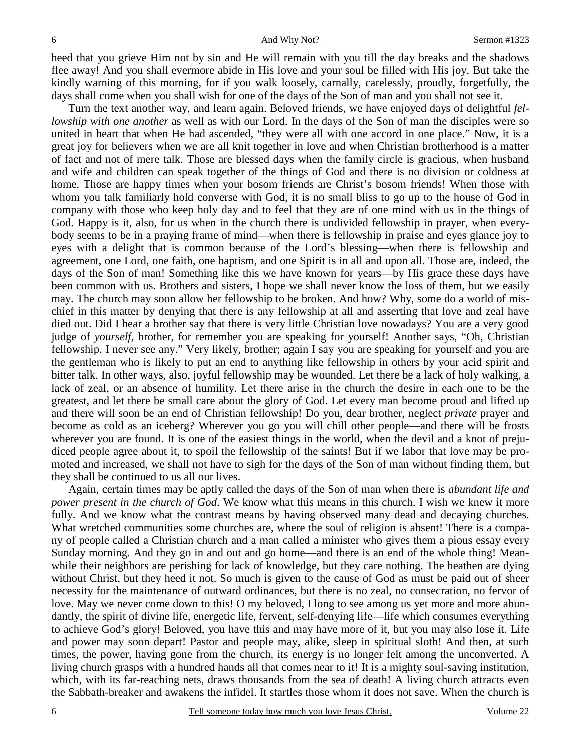heed that you grieve Him not by sin and He will remain with you till the day breaks and the shadows flee away! And you shall evermore abide in His love and your soul be filled with His joy. But take the kindly warning of this morning, for if you walk loosely, carnally, carelessly, proudly, forgetfully, the days shall come when you shall wish for one of the days of the Son of man and you shall not see it.

 Turn the text another way, and learn again. Beloved friends, we have enjoyed days of delightful *fellowship with one another* as well as with our Lord. In the days of the Son of man the disciples were so united in heart that when He had ascended, "they were all with one accord in one place." Now, it is a great joy for believers when we are all knit together in love and when Christian brotherhood is a matter of fact and not of mere talk. Those are blessed days when the family circle is gracious, when husband and wife and children can speak together of the things of God and there is no division or coldness at home. Those are happy times when your bosom friends are Christ's bosom friends! When those with whom you talk familiarly hold converse with God, it is no small bliss to go up to the house of God in company with those who keep holy day and to feel that they are of one mind with us in the things of God. Happy is it, also, for us when in the church there is undivided fellowship in prayer, when everybody seems to be in a praying frame of mind—when there is fellowship in praise and eyes glance joy to eyes with a delight that is common because of the Lord's blessing—when there is fellowship and agreement, one Lord, one faith, one baptism, and one Spirit is in all and upon all. Those are, indeed, the days of the Son of man! Something like this we have known for years—by His grace these days have been common with us. Brothers and sisters, I hope we shall never know the loss of them, but we easily may. The church may soon allow her fellowship to be broken. And how? Why, some do a world of mischief in this matter by denying that there is any fellowship at all and asserting that love and zeal have died out. Did I hear a brother say that there is very little Christian love nowadays? You are a very good judge of *yourself*, brother, for remember you are speaking for yourself! Another says, "Oh, Christian fellowship. I never see any." Very likely, brother; again I say you are speaking for yourself and you are the gentleman who is likely to put an end to anything like fellowship in others by your acid spirit and bitter talk. In other ways, also, joyful fellowship may be wounded. Let there be a lack of holy walking, a lack of zeal, or an absence of humility. Let there arise in the church the desire in each one to be the greatest, and let there be small care about the glory of God. Let every man become proud and lifted up and there will soon be an end of Christian fellowship! Do you, dear brother, neglect *private* prayer and become as cold as an iceberg? Wherever you go you will chill other people—and there will be frosts wherever you are found. It is one of the easiest things in the world, when the devil and a knot of prejudiced people agree about it, to spoil the fellowship of the saints! But if we labor that love may be promoted and increased, we shall not have to sigh for the days of the Son of man without finding them, but they shall be continued to us all our lives.

 Again, certain times may be aptly called the days of the Son of man when there is *abundant life and power present in the church of God*. We know what this means in this church. I wish we knew it more fully. And we know what the contrast means by having observed many dead and decaying churches. What wretched communities some churches are, where the soul of religion is absent! There is a company of people called a Christian church and a man called a minister who gives them a pious essay every Sunday morning. And they go in and out and go home—and there is an end of the whole thing! Meanwhile their neighbors are perishing for lack of knowledge, but they care nothing. The heathen are dying without Christ, but they heed it not. So much is given to the cause of God as must be paid out of sheer necessity for the maintenance of outward ordinances, but there is no zeal, no consecration, no fervor of love. May we never come down to this! O my beloved, I long to see among us yet more and more abundantly, the spirit of divine life, energetic life, fervent, self-denying life—life which consumes everything to achieve God's glory! Beloved, you have this and may have more of it, but you may also lose it. Life and power may soon depart! Pastor and people may, alike, sleep in spiritual sloth! And then, at such times, the power, having gone from the church, its energy is no longer felt among the unconverted. A living church grasps with a hundred hands all that comes near to it! It is a mighty soul-saving institution, which, with its far-reaching nets, draws thousands from the sea of death! A living church attracts even the Sabbath-breaker and awakens the infidel. It startles those whom it does not save. When the church is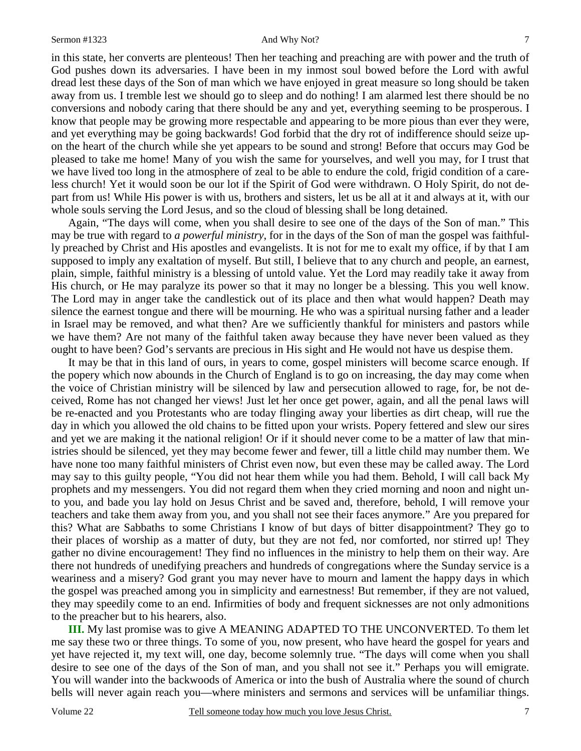#### Sermon #1323 And Why Not?

in this state, her converts are plenteous! Then her teaching and preaching are with power and the truth of God pushes down its adversaries. I have been in my inmost soul bowed before the Lord with awful dread lest these days of the Son of man which we have enjoyed in great measure so long should be taken away from us. I tremble lest we should go to sleep and do nothing! I am alarmed lest there should be no conversions and nobody caring that there should be any and yet, everything seeming to be prosperous. I know that people may be growing more respectable and appearing to be more pious than ever they were, and yet everything may be going backwards! God forbid that the dry rot of indifference should seize upon the heart of the church while she yet appears to be sound and strong! Before that occurs may God be pleased to take me home! Many of you wish the same for yourselves, and well you may, for I trust that we have lived too long in the atmosphere of zeal to be able to endure the cold, frigid condition of a careless church! Yet it would soon be our lot if the Spirit of God were withdrawn. O Holy Spirit, do not depart from us! While His power is with us, brothers and sisters, let us be all at it and always at it, with our whole souls serving the Lord Jesus, and so the cloud of blessing shall be long detained.

 Again, "The days will come, when you shall desire to see one of the days of the Son of man." This may be true with regard to *a powerful ministry*, for in the days of the Son of man the gospel was faithfully preached by Christ and His apostles and evangelists. It is not for me to exalt my office, if by that I am supposed to imply any exaltation of myself. But still, I believe that to any church and people, an earnest, plain, simple, faithful ministry is a blessing of untold value. Yet the Lord may readily take it away from His church, or He may paralyze its power so that it may no longer be a blessing. This you well know. The Lord may in anger take the candlestick out of its place and then what would happen? Death may silence the earnest tongue and there will be mourning. He who was a spiritual nursing father and a leader in Israel may be removed, and what then? Are we sufficiently thankful for ministers and pastors while we have them? Are not many of the faithful taken away because they have never been valued as they ought to have been? God's servants are precious in His sight and He would not have us despise them.

 It may be that in this land of ours, in years to come, gospel ministers will become scarce enough. If the popery which now abounds in the Church of England is to go on increasing, the day may come when the voice of Christian ministry will be silenced by law and persecution allowed to rage, for, be not deceived, Rome has not changed her views! Just let her once get power, again, and all the penal laws will be re-enacted and you Protestants who are today flinging away your liberties as dirt cheap, will rue the day in which you allowed the old chains to be fitted upon your wrists. Popery fettered and slew our sires and yet we are making it the national religion! Or if it should never come to be a matter of law that ministries should be silenced, yet they may become fewer and fewer, till a little child may number them. We have none too many faithful ministers of Christ even now, but even these may be called away. The Lord may say to this guilty people, "You did not hear them while you had them. Behold, I will call back My prophets and my messengers. You did not regard them when they cried morning and noon and night unto you, and bade you lay hold on Jesus Christ and be saved and, therefore, behold, I will remove your teachers and take them away from you, and you shall not see their faces anymore." Are you prepared for this? What are Sabbaths to some Christians I know of but days of bitter disappointment? They go to their places of worship as a matter of duty, but they are not fed, nor comforted, nor stirred up! They gather no divine encouragement! They find no influences in the ministry to help them on their way. Are there not hundreds of unedifying preachers and hundreds of congregations where the Sunday service is a weariness and a misery? God grant you may never have to mourn and lament the happy days in which the gospel was preached among you in simplicity and earnestness! But remember, if they are not valued, they may speedily come to an end. Infirmities of body and frequent sicknesses are not only admonitions to the preacher but to his hearers, also.

**III.** My last promise was to give A MEANING ADAPTED TO THE UNCONVERTED. To them let me say these two or three things. To some of you, now present, who have heard the gospel for years and yet have rejected it, my text will, one day, become solemnly true. "The days will come when you shall desire to see one of the days of the Son of man, and you shall not see it." Perhaps you will emigrate. You will wander into the backwoods of America or into the bush of Australia where the sound of church bells will never again reach you—where ministers and sermons and services will be unfamiliar things.